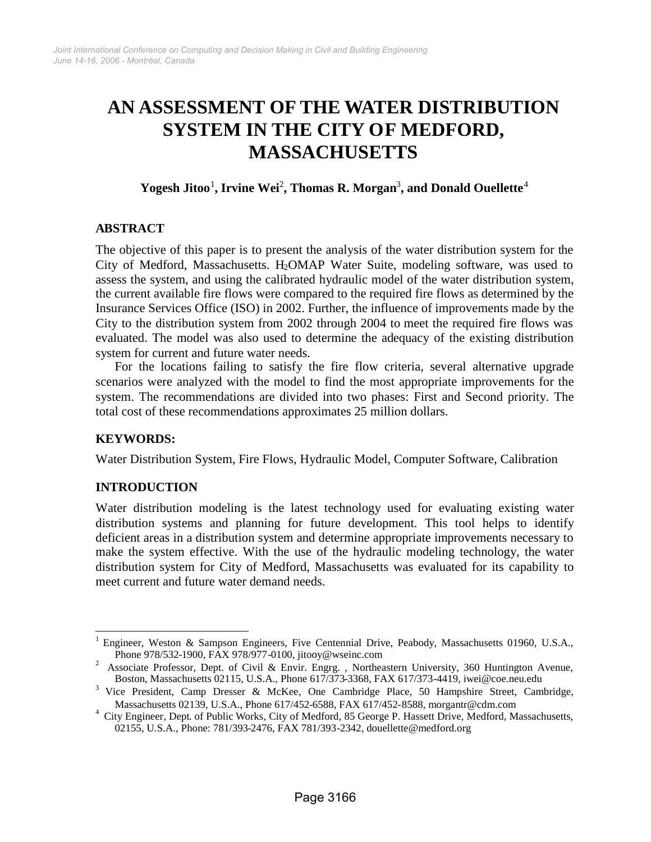# **AN ASSESSMENT OF THE WATER DISTRIBUTION SYSTEM IN THE CITY OF MEDFORD, MASSACHUSETTS**

 $\bf{Y}$ ogesh $\bf{J}$ it[o](#page-0-0)o $^1$ [,](#page-0-2)  $\bf{I}$ rv[i](#page-0-1)ne  $\bf{Wei}^2$ ,  $\bf{Thomas\ R.\ Morgan}^3$ , and  $\bf{Donald\ O}$ uellette $^4$  $^4$ 

# **ABSTRACT**

The objective of this paper is to present the analysis of the water distribution system for the City of Medford, Massachusetts. H<sub>2</sub>OMAP Water Suite, modeling software, was used to assess the system, and using the calibrated hydraulic model of the water distribution system, the current available fire flows were compared to the required fire flows as determined by the Insurance Services Office (ISO) in 2002. Further, the influence of improvements made by the City to the distribution system from 2002 through 2004 to meet the required fire flows was evaluated. The model was also used to determine the adequacy of the existing distribution system for current and future water needs.

For the locations failing to satisfy the fire flow criteria, several alternative upgrade scenarios were analyzed with the model to find the most appropriate improvements for the system. The recommendations are divided into two phases: First and Second priority. The total cost of these recommendations approximates 25 million dollars.

#### **KEYWORDS:**

Water Distribution System, Fire Flows, Hydraulic Model, Computer Software, Calibration

#### **INTRODUCTION**

Water distribution modeling is the latest technology used for evaluating existing water distribution systems and planning for future development. This tool helps to identify deficient areas in a distribution system and determine appropriate improvements necessary to make the system effective. With the use of the hydraulic modeling technology, the water distribution system for City of Medford, Massachusetts was evaluated for its capability to meet current and future water demand needs.

<span id="page-0-0"></span><sup>1</sup> Engineer, Weston & Sampson Engineers, Five Centennial Drive, Peabody, Massachusetts 01960, U.S.A., Phone 978/532-1900, FAX 978/977-0100, jitooy@wseinc.com

<span id="page-0-1"></span><sup>2</sup> Associate Professor, Dept. of Civil & Envir. Engrg. , Northeastern University, 360 Huntington Avenue, Boston, Massachusetts 02115, U.S.A., Phone 617/373-3368, FAX 617/373-4419, iwei@coe.neu.edu

<span id="page-0-2"></span><sup>&</sup>lt;sup>3</sup> Vice President, Camp Dresser & McKee, One Cambridge Place, 50 Hampshire Street, Cambridge, Massachusetts 02139, U.S.A., Phone 617/452-6588, FAX 617/452-8588, morgantr@cdm.com

<span id="page-0-3"></span><sup>&</sup>lt;sup>4</sup> City Engineer, Dept. of Public Works, City of Medford, 85 George P. Hassett Drive, Medford, Massachusetts, 02155, U.S.A., Phone: 781/393-2476, FAX 781/393-2342, douellette@medford.org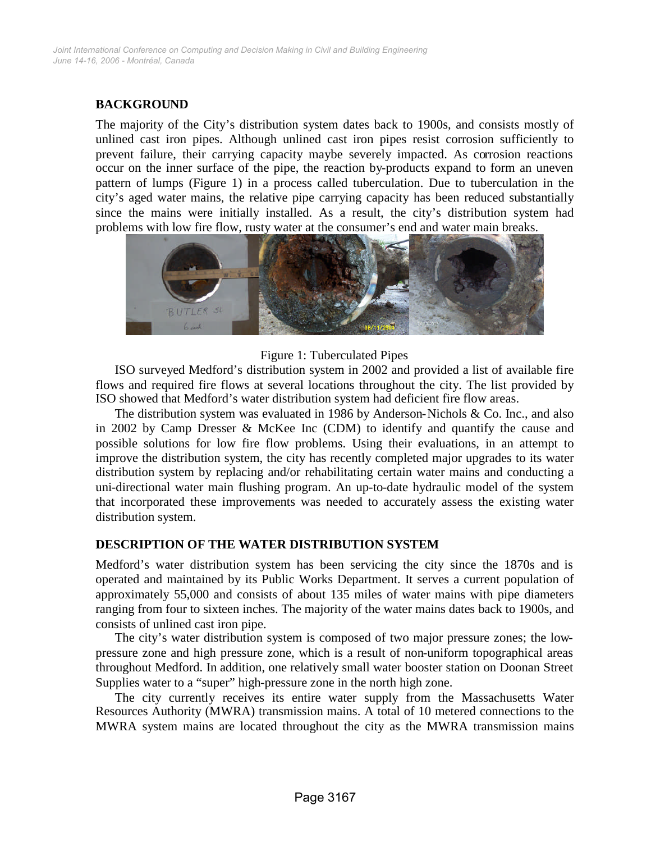# **BACKGROUND**

The majority of the City's distribution system dates back to 1900s, and consists mostly of unlined cast iron pipes. Although unlined cast iron pipes resist corrosion sufficiently to prevent failure, their carrying capacity maybe severely impacted. As corrosion reactions occur on the inner surface of the pipe, the reaction by-products expand to form an uneven pattern of lumps (Figure 1) in a process called tuberculation. Due to tuberculation in the city's aged water mains, the relative pipe carrying capacity has been reduced substantially since the mains were initially installed. As a result, the city's distribution system had problems with low fire flow, rusty water at the consumer's end and water main breaks.



#### Figure 1: Tuberculated Pipes

ISO surveyed Medford's distribution system in 2002 and provided a list of available fire flows and required fire flows at several locations throughout the city. The list provided by ISO showed that Medford's water distribution system had deficient fire flow areas.

The distribution system was evaluated in 1986 by Anderson-Nichols & Co. Inc., and also in 2002 by Camp Dresser & McKee Inc (CDM) to identify and quantify the cause and possible solutions for low fire flow problems. Using their evaluations, in an attempt to improve the distribution system, the city has recently completed major upgrades to its water distribution system by replacing and/or rehabilitating certain water mains and conducting a uni-directional water main flushing program. An up-to-date hydraulic model of the system that incorporated these improvements was needed to accurately assess the existing water distribution system.

# **DESCRIPTION OF THE WATER DISTRIBUTION SYSTEM**

Medford's water distribution system has been servicing the city since the 1870s and is operated and maintained by its Public Works Department. It serves a current population of approximately 55,000 and consists of about 135 miles of water mains with pipe diameters ranging from four to sixteen inches. The majority of the water mains dates back to 1900s, and consists of unlined cast iron pipe.

The city's water distribution system is composed of two major pressure zones; the lowpressure zone and high pressure zone, which is a result of non-uniform topographical areas throughout Medford. In addition, one relatively small water booster station on Doonan Street Supplies water to a "super" high-pressure zone in the north high zone.

The city currently receives its entire water supply from the Massachusetts Water Resources Authority (MWRA) transmission mains. A total of 10 metered connections to the MWRA system mains are located throughout the city as the MWRA transmission mains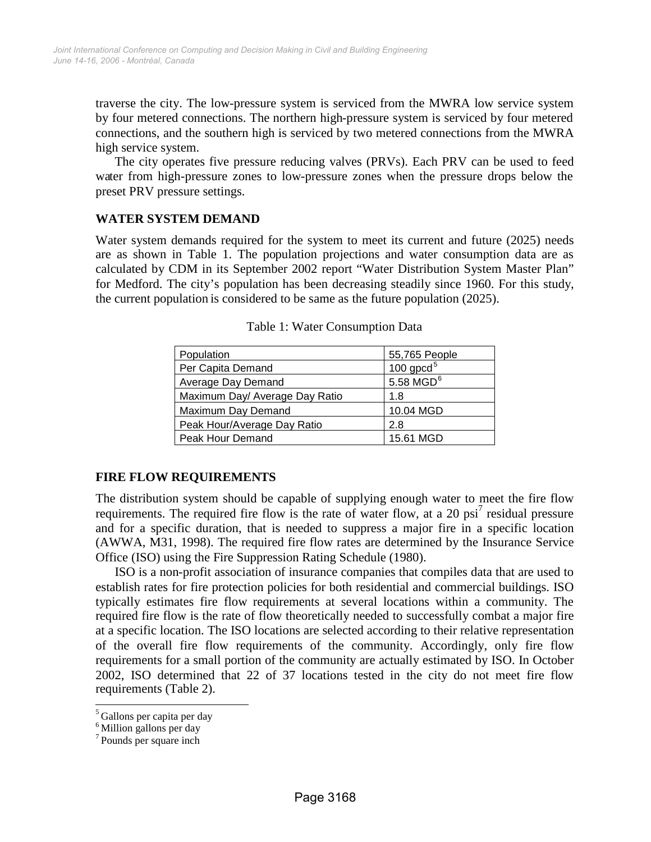traverse the city. The low-pressure system is serviced from the MWRA low service system by four metered connections. The northern high-pressure system is serviced by four metered connections, and the southern high is serviced by two metered connections from the MWRA high service system.

The city operates five pressure reducing valves (PRVs). Each PRV can be used to feed water from high-pressure zones to low-pressure zones when the pressure drops below the preset PRV pressure settings.

# **WATER SYSTEM DEMAND**

Water system demands required for the system to meet its current and future (2025) needs are as shown in Table 1. The population projections and water consumption data are as calculated by CDM in its September 2002 report "Water Distribution System Master Plan" for Medford. The city's population has been decreasing steadily since 1960. For this study, the current population is considered to be same as the future population (2025).

| Population                     | 55,765 People           |  |  |
|--------------------------------|-------------------------|--|--|
| Per Capita Demand              | 100 $\text{gpcd}^5$     |  |  |
| Average Day Demand             | $5.58$ MGD <sup>6</sup> |  |  |
| Maximum Day/ Average Day Ratio | 1.8                     |  |  |
| Maximum Day Demand             | 10.04 MGD               |  |  |
| Peak Hour/Average Day Ratio    | 2.8                     |  |  |
| Peak Hour Demand               | 15.61 MGD               |  |  |

Table 1: Water Consumption Data

# **FIRE FLOW REQUIREMENTS**

The distribution system should be capable of supplying enough water to meet the fire flow requirements.The requ[i](#page-2-2)red fire flow is the rate of water flow, at a 20 psi<sup>7</sup> residual pressure and for a specific duration, that is needed to suppress a major fire in a specific location (AWWA, M31, 1998). The required fire flow rates are determined by the Insurance Service Office (ISO) using the Fire Suppression Rating Schedule (1980).

ISO is a non-profit association of insurance companies that compiles data that are used to establish rates for fire protection policies for both residential and commercial buildings. ISO typically estimates fire flow requirements at several locations within a community. The required fire flow is the rate of flow theoretically needed to successfully combat a major fire at a specific location. The ISO locations are selected according to their relative representation of the overall fire flow requirements of the community. Accordingly, only fire flow requirements for a small portion of the community are actually estimated by ISO. In October 2002, ISO determined that 22 of 37 locations tested in the city do not meet fire flow requirements (Table 2).

<span id="page-2-1"></span><span id="page-2-0"></span><sup>5</sup> Gallons per capita per day

<sup>6</sup> Million gallons per day

<span id="page-2-2"></span><sup>7</sup> Pounds per square inch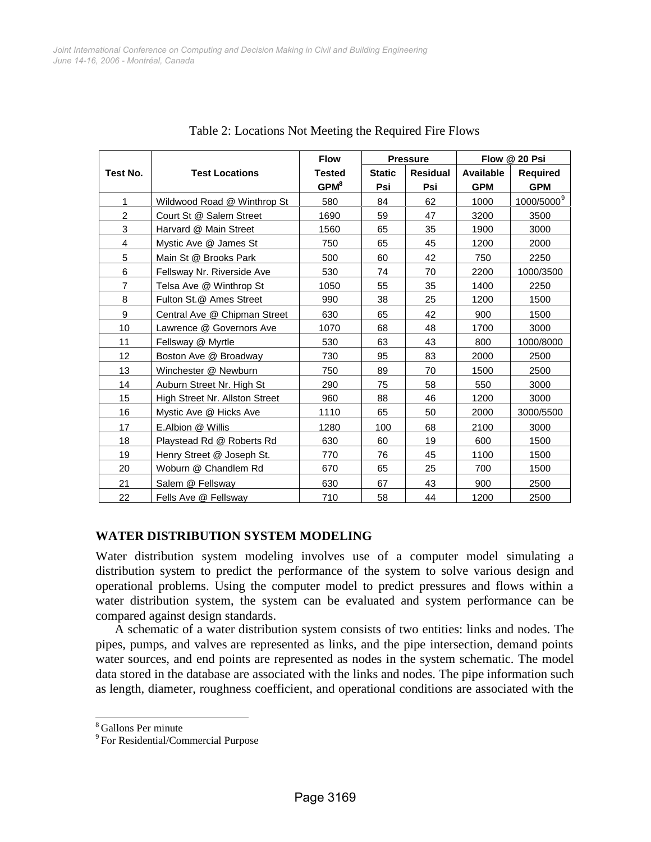|                         |                                | <b>Flow</b>      | <b>Pressure</b> |                 | Flow @ 20 Psi    |                        |
|-------------------------|--------------------------------|------------------|-----------------|-----------------|------------------|------------------------|
| Test No.                | <b>Test Locations</b>          | <b>Tested</b>    | <b>Static</b>   | <b>Residual</b> | <b>Available</b> | <b>Required</b>        |
|                         |                                | GPM <sup>8</sup> | Psi             | Psi             | <b>GPM</b>       | <b>GPM</b>             |
| $\mathbf{1}$            | Wildwood Road @ Winthrop St    | 580              | 84              | 62              | 1000             | 1000/5000 <sup>9</sup> |
| $\overline{2}$          | Court St @ Salem Street        | 1690             | 59              | 47              | 3200             | 3500                   |
| 3                       | Harvard @ Main Street          | 1560             | 65              | 35              | 1900             | 3000                   |
| $\overline{\mathbf{4}}$ | Mystic Ave @ James St          | 750              | 65              | 45              | 1200             | 2000                   |
| 5                       | Main St @ Brooks Park          | 500              | 60              | 42              | 750              | 2250                   |
| 6                       | Fellsway Nr. Riverside Ave     | 530              | 74              | 70              | 2200             | 1000/3500              |
| $\overline{7}$          | Telsa Ave @ Winthrop St        | 1050             | 55              | 35              | 1400             | 2250                   |
| 8                       | Fulton St.@ Ames Street        | 990              | 38              | 25              | 1200             | 1500                   |
| 9                       | Central Ave @ Chipman Street   | 630              | 65              | 42              | 900              | 1500                   |
| 10                      | Lawrence @ Governors Ave       | 1070             | 68              | 48              | 1700             | 3000                   |
| 11                      | Fellsway @ Myrtle              | 530              | 63              | 43              | 800              | 1000/8000              |
| 12                      | Boston Ave @ Broadway          | 730              | 95              | 83              | 2000             | 2500                   |
| 13                      | Winchester @ Newburn           | 750              | 89              | 70              | 1500             | 2500                   |
| 14                      | Auburn Street Nr. High St      | 290              | 75              | 58              | 550              | 3000                   |
| 15                      | High Street Nr. Allston Street | 960              | 88              | 46              | 1200             | 3000                   |
| 16                      | Mystic Ave @ Hicks Ave         | 1110             | 65              | 50              | 2000             | 3000/5500              |
| 17                      | E.Albion @ Willis              | 1280             | 100             | 68              | 2100             | 3000                   |
| 18                      | Playstead Rd @ Roberts Rd      | 630              | 60              | 19              | 600              | 1500                   |
| 19                      | Henry Street @ Joseph St.      | 770              | 76              | 45              | 1100             | 1500                   |
| 20                      | Woburn @ Chandlem Rd           | 670              | 65              | 25              | 700              | 1500                   |
| 21                      | Salem @ Fellsway               | 630              | 67              | 43              | 900              | 2500                   |
| 22                      | Fells Ave @ Fellsway           | 710              | 58              | 44              | 1200             | 2500                   |

Table 2: Locations Not Meeting the Required Fire Flows

# **WATER DISTRIBUTION SYSTEM MODELING**

Water distribution system modeling involves use of a computer model simulating a distribution system to predict the performance of the system to solve various design and operational problems. Using the computer model to predict pressures and flows within a water distribution system, the system can be evaluated and system performance can be compared against design standards.

A schematic of a water distribution system consists of two entities: links and nodes. The pipes, pumps, and valves are represented as links, and the pipe intersection, demand points water sources, and end points are represented as nodes in the system schematic. The model data stored in the database are associated with the links and nodes. The pipe information such as length, diameter, roughness coefficient, and operational conditions are associated with the

<span id="page-3-0"></span><sup>8</sup> Gallons Per minute

<span id="page-3-1"></span><sup>&</sup>lt;sup>9</sup> For Residential/Commercial Purpose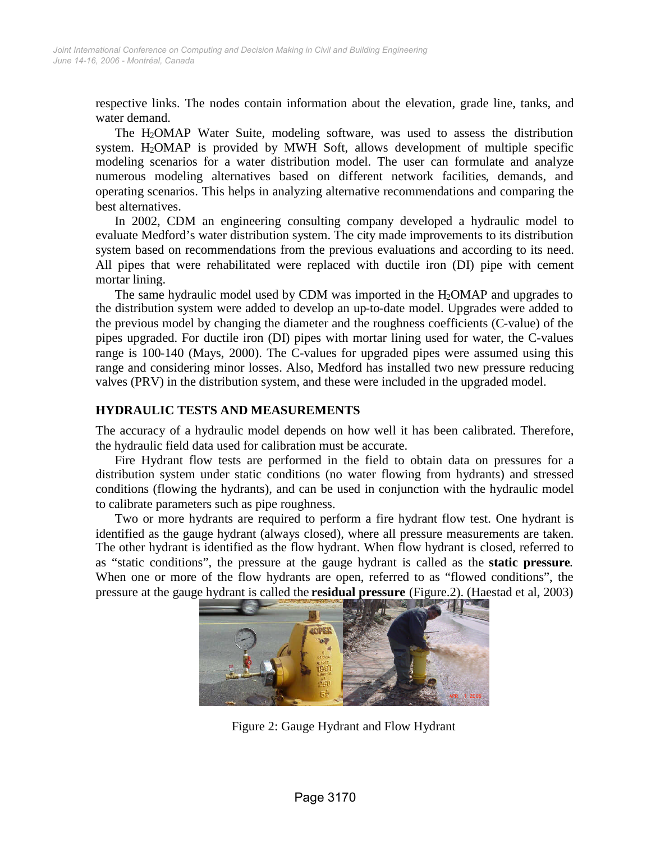respective links. The nodes contain information about the elevation, grade line, tanks, and water demand.

The H2OMAP Water Suite, modeling software, was used to assess the distribution system. H2OMAP is provided by MWH Soft, allows development of multiple specific modeling scenarios for a water distribution model. The user can formulate and analyze numerous modeling alternatives based on different network facilities, demands, and operating scenarios. This helps in analyzing alternative recommendations and comparing the best alternatives.

In 2002, CDM an engineering consulting company developed a hydraulic model to evaluate Medford's water distribution system. The city made improvements to its distribution system based on recommendations from the previous evaluations and according to its need. All pipes that were rehabilitated were replaced with ductile iron (DI) pipe with cement mortar lining.

The same hydraulic model used by CDM was imported in the  $H_2OMAP$  and upgrades to the distribution system were added to develop an up-to-date model. Upgrades were added to the previous model by changing the diameter and the roughness coefficients (C-value) of the pipes upgraded. For ductile iron (DI) pipes with mortar lining used for water, the C-values range is 100-140 (Mays, 2000). The C-values for upgraded pipes were assumed using this range and considering minor losses. Also, Medford has installed two new pressure reducing valves (PRV) in the distribution system, and these were included in the upgraded model.

## **HYDRAULIC TESTS AND MEASUREMENTS**

The accuracy of a hydraulic model depends on how well it has been calibrated. Therefore, the hydraulic field data used for calibration must be accurate.

Fire Hydrant flow tests are performed in the field to obtain data on pressures for a distribution system under static conditions (no water flowing from hydrants) and stressed conditions (flowing the hydrants), and can be used in conjunction with the hydraulic model to calibrate parameters such as pipe roughness.

Two or more hydrants are required to perform a fire hydrant flow test. One hydrant is identified as the gauge hydrant (always closed), where all pressure measurements are taken. The other hydrant is identified as the flow hydrant. When flow hydrant is closed, referred to as "static conditions", the pressure at the gauge hydrant is called as the **static pressure**. When one or more of the flow hydrants are open, referred to as "flowed conditions", the pressure at the gauge hydrant is called the **residual pressure** (Figure.2). (Haestad et al, 2003)



Figure 2: Gauge Hydrant and Flow Hydrant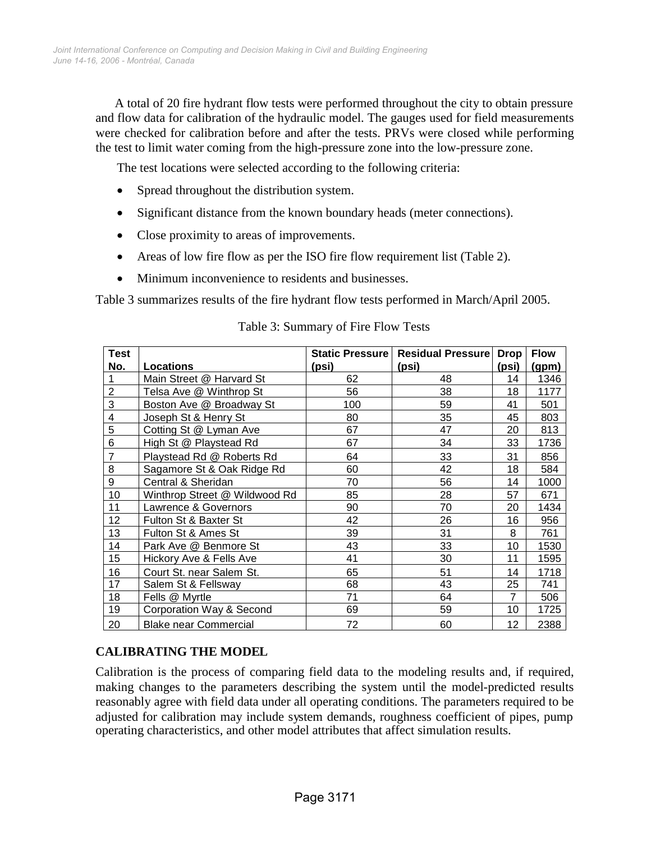A total of 20 fire hydrant flow tests were performed throughout the city to obtain pressure and flow data for calibration of the hydraulic model. The gauges used for field measurements were checked for calibration before and after the tests. PRVs were closed while performing the test to limit water coming from the high-pressure zone into the low-pressure zone.

The test locations were selected according to the following criteria:

- Spread throughout the distribution system.
- Significant distance from the known boundary heads (meter connections).
- Close proximity to areas of improvements.
- Areas of low fire flow as per the ISO fire flow requirement list (Table 2).
- Minimum inconvenience to residents and businesses.

Table 3 summarizes results of the fire hydrant flow tests performed in March/April 2005.

| <b>Test</b>    |                               |       | Static Pressure   Residual Pressure | <b>Drop</b>    | <b>Flow</b> |
|----------------|-------------------------------|-------|-------------------------------------|----------------|-------------|
| No.            | <b>Locations</b>              | (psi) | (psi)                               | (psi)          | (gpm)       |
| 1              | Main Street @ Harvard St      | 62    | 48                                  | 14             | 1346        |
| $\overline{2}$ | Telsa Ave @ Winthrop St       | 56    | 38                                  | 18             | 1177        |
| 3              | Boston Ave @ Broadway St      | 100   | 59                                  | 41             | 501         |
| 4              | Joseph St & Henry St          | 80    | 35                                  | 45             | 803         |
| 5              | Cotting St @ Lyman Ave        | 67    | 47                                  | 20             | 813         |
| 6              | High St @ Playstead Rd        | 67    | 34                                  | 33             | 1736        |
| 7              | Playstead Rd @ Roberts Rd     | 64    | 33                                  | 31             | 856         |
| 8              | Sagamore St & Oak Ridge Rd    | 60    | 42                                  | 18             | 584         |
| 9              | Central & Sheridan            | 70    | 56                                  | 14             | 1000        |
| 10             | Winthrop Street @ Wildwood Rd | 85    | 28                                  | 57             | 671         |
| 11             | Lawrence & Governors          | 90    | 70                                  | 20             | 1434        |
| 12             | Fulton St & Baxter St         | 42    | 26                                  | 16             | 956         |
| 13             | Fulton St & Ames St           | 39    | 31                                  | 8              | 761         |
| 14             | Park Ave @ Benmore St         | 43    | 33                                  | 10             | 1530        |
| 15             | Hickory Ave & Fells Ave       | 41    | 30                                  | 11             | 1595        |
| 16             | Court St. near Salem St.      | 65    | 51                                  | 14             | 1718        |
| 17             | Salem St & Fellsway           | 68    | 43                                  | 25             | 741         |
| 18             | Fells @ Myrtle                | 71    | 64                                  | $\overline{7}$ | 506         |
| 19             | Corporation Way & Second      | 69    | 59                                  | 10             | 1725        |
| 20             | <b>Blake near Commercial</b>  | 72    | 60                                  | 12             | 2388        |

## Table 3: Summary of Fire Flow Tests

# **CALIBRATING THE MODEL**

Calibration is the process of comparing field data to the modeling results and, if required, making changes to the parameters describing the system until the model-predicted results reasonably agree with field data under all operating conditions. The parameters required to be adjusted for calibration may include system demands, roughness coefficient of pipes, pump operating characteristics, and other model attributes that affect simulation results.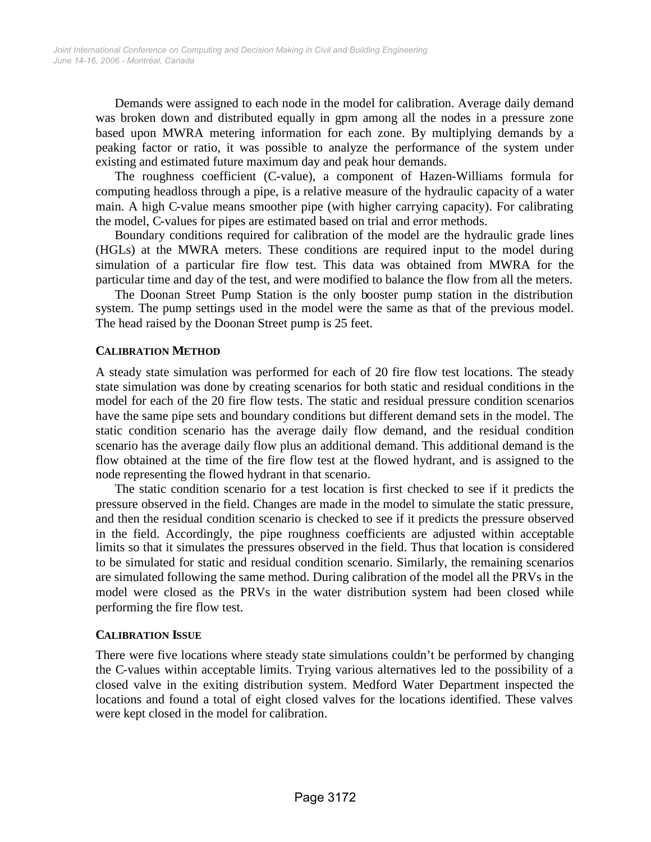Demands were assigned to each node in the model for calibration. Average daily demand was broken down and distributed equally in gpm among all the nodes in a pressure zone based upon MWRA metering information for each zone. By multiplying demands by a peaking factor or ratio, it was possible to analyze the performance of the system under existing and estimated future maximum day and peak hour demands.

The roughness coefficient (C-value), a component of Hazen-Williams formula for computing headloss through a pipe, is a relative measure of the hydraulic capacity of a water main. A high C-value means smoother pipe (with higher carrying capacity). For calibrating the model, C-values for pipes are estimated based on trial and error methods.

Boundary conditions required for calibration of the model are the hydraulic grade lines (HGLs) at the MWRA meters. These conditions are required input to the model during simulation of a particular fire flow test. This data was obtained from MWRA for the particular time and day of the test, and were modified to balance the flow from all the meters.

The Doonan Street Pump Station is the only booster pump station in the distribution system. The pump settings used in the model were the same as that of the previous model. The head raised by the Doonan Street pump is 25 feet.

## **CALIBRATION METHOD**

A steady state simulation was performed for each of 20 fire flow test locations. The steady state simulation was done by creating scenarios for both static and residual conditions in the model for each of the 20 fire flow tests. The static and residual pressure condition scenarios have the same pipe sets and boundary conditions but different demand sets in the model. The static condition scenario has the average daily flow demand, and the residual condition scenario has the average daily flow plus an additional demand. This additional demand is the flow obtained at the time of the fire flow test at the flowed hydrant, and is assigned to the node representing the flowed hydrant in that scenario.

The static condition scenario for a test location is first checked to see if it predicts the pressure observed in the field. Changes are made in the model to simulate the static pressure, and then the residual condition scenario is checked to see if it predicts the pressure observed in the field. Accordingly, the pipe roughness coefficients are adjusted within acceptable limits so that it simulates the pressures observed in the field. Thus that location is considered to be simulated for static and residual condition scenario. Similarly, the remaining scenarios are simulated following the same method. During calibration of the model all the PRVs in the model were closed as the PRVs in the water distribution system had been closed while performing the fire flow test.

#### **CALIBRATION ISSUE**

There were five locations where steady state simulations couldn't be performed by changing the C-values within acceptable limits. Trying various alternatives led to the possibility of a closed valve in the exiting distribution system. Medford Water Department inspected the locations and found a total of eight closed valves for the locations identified. These valves were kept closed in the model for calibration.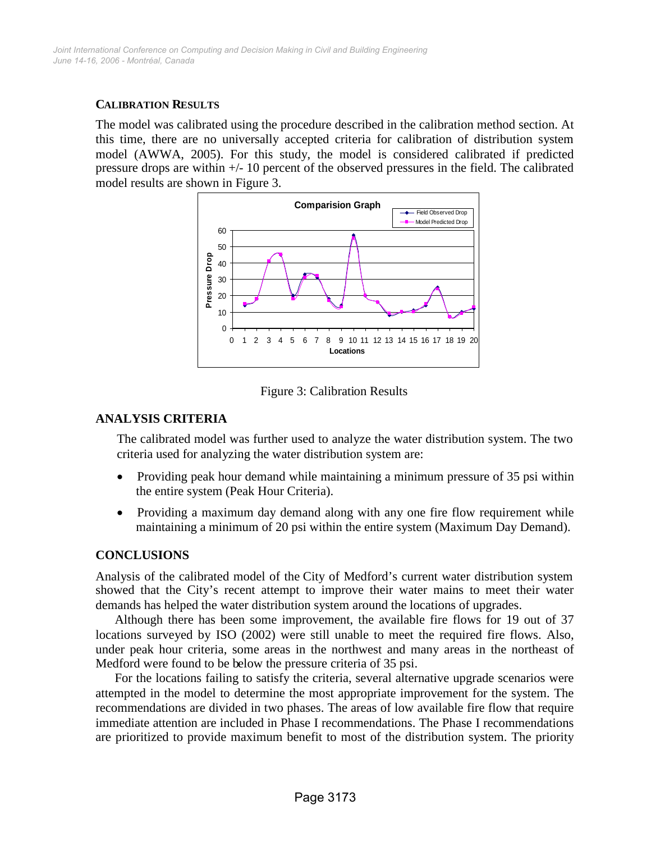## **CALIBRATION RESULTS**

The model was calibrated using the procedure described in the calibration method section. At this time, there are no universally accepted criteria for calibration of distribution system model (AWWA, 2005). For this study, the model is considered calibrated if predicted pressure drops are within +/- 10 percent of the observed pressures in the field. The calibrated model results are shown in Figure 3.



Figure 3: Calibration Results

## **ANALYSIS CRITERIA**

The calibrated model was further used to analyze the water distribution system. The two criteria used for analyzing the water distribution system are:

- Providing peak hour demand while maintaining a minimum pressure of 35 psi within the entire system (Peak Hour Criteria).
- Providing a maximum day demand along with any one fire flow requirement while maintaining a minimum of 20 psi within the entire system (Maximum Day Demand).

# **CONCLUSIONS**

Analysis of the calibrated model of the City of Medford's current water distribution system showed that the City's recent attempt to improve their water mains to meet their water demands has helped the water distribution system around the locations of upgrades.

Although there has been some improvement, the available fire flows for 19 out of 37 locations surveyed by ISO (2002) were still unable to meet the required fire flows. Also, under peak hour criteria, some areas in the northwest and many areas in the northeast of Medford were found to be below the pressure criteria of 35 psi.

For the locations failing to satisfy the criteria, several alternative upgrade scenarios were attempted in the model to determine the most appropriate improvement for the system. The recommendations are divided in two phases. The areas of low available fire flow that require immediate attention are included in Phase I recommendations. The Phase I recommendations are prioritized to provide maximum benefit to most of the distribution system. The priority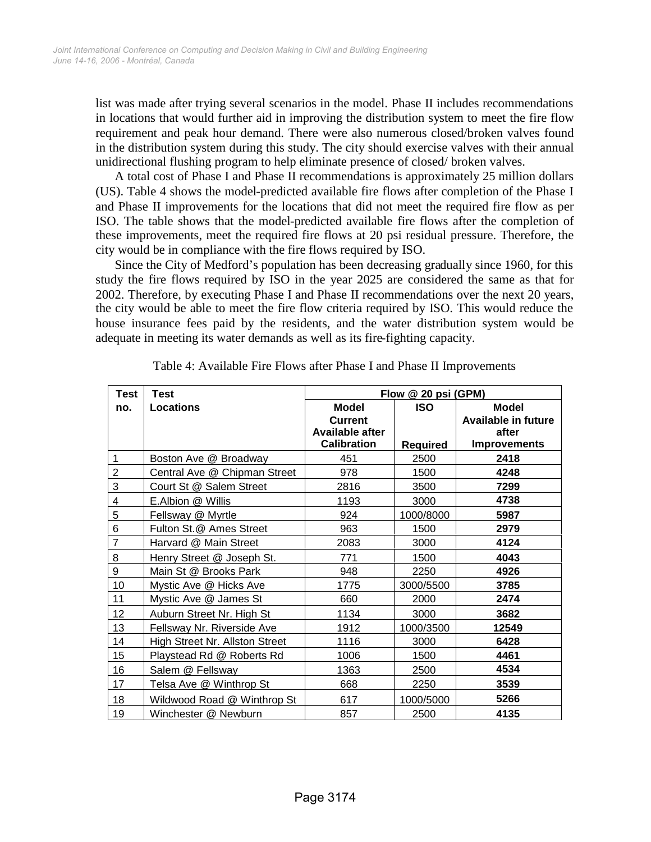list was made after trying several scenarios in the model. Phase II includes recommendations in locations that would further aid in improving the distribution system to meet the fire flow requirement and peak hour demand. There were also numerous closed/broken valves found in the distribution system during this study. The city should exercise valves with their annual unidirectional flushing program to help eliminate presence of closed/ broken valves.

A total cost of Phase I and Phase II recommendations is approximately 25 million dollars (US). Table 4 shows the model-predicted available fire flows after completion of the Phase I and Phase II improvements for the locations that did not meet the required fire flow as per ISO. The table shows that the model-predicted available fire flows after the completion of these improvements, meet the required fire flows at 20 psi residual pressure. Therefore, the city would be in compliance with the fire flows required by ISO.

Since the City of Medford's population has been decreasing gradually since 1960, for this study the fire flows required by ISO in the year 2025 are considered the same as that for 2002. Therefore, by executing Phase I and Phase II recommendations over the next 20 years, the city would be able to meet the fire flow criteria required by ISO. This would reduce the house insurance fees paid by the residents, and the water distribution system would be adequate in meeting its water demands as well as its fire-fighting capacity.

| <b>Test</b>    | <b>Test</b>                    | Flow @ 20 psi (GPM)                                                            |                               |                                                                            |  |
|----------------|--------------------------------|--------------------------------------------------------------------------------|-------------------------------|----------------------------------------------------------------------------|--|
| no.            | <b>Locations</b>               | <b>Model</b><br><b>Current</b><br><b>Available after</b><br><b>Calibration</b> | <b>ISO</b><br><b>Required</b> | <b>Model</b><br><b>Available in future</b><br>after<br><b>Improvements</b> |  |
| 1              | Boston Ave @ Broadway          | 451                                                                            | 2500                          | 2418                                                                       |  |
| $\overline{2}$ | Central Ave @ Chipman Street   | 978                                                                            | 1500                          | 4248                                                                       |  |
| 3              | Court St @ Salem Street        | 2816                                                                           | 3500                          | 7299                                                                       |  |
| 4              | E.Albion @ Willis              | 1193                                                                           | 3000                          | 4738                                                                       |  |
| 5              | Fellsway @ Myrtle              | 924                                                                            | 1000/8000                     | 5987                                                                       |  |
| 6              | Fulton St.@ Ames Street        | 963                                                                            | 1500                          | 2979                                                                       |  |
| $\overline{7}$ | Harvard @ Main Street          | 2083                                                                           | 3000                          | 4124                                                                       |  |
| 8              | Henry Street @ Joseph St.      | 771                                                                            | 1500                          | 4043                                                                       |  |
| 9              | Main St @ Brooks Park          | 948                                                                            | 2250                          | 4926                                                                       |  |
| 10             | Mystic Ave @ Hicks Ave         | 1775                                                                           | 3000/5500                     | 3785                                                                       |  |
| 11             | Mystic Ave @ James St          | 660                                                                            | 2000                          | 2474                                                                       |  |
| 12             | Auburn Street Nr. High St      | 1134                                                                           | 3000                          | 3682                                                                       |  |
| 13             | Fellsway Nr. Riverside Ave     | 1912                                                                           | 1000/3500                     | 12549                                                                      |  |
| 14             | High Street Nr. Allston Street | 1116                                                                           | 3000                          | 6428                                                                       |  |
| 15             | Playstead Rd @ Roberts Rd      | 1006                                                                           | 1500                          | 4461                                                                       |  |
| 16             | Salem @ Fellsway               | 1363                                                                           | 2500                          | 4534                                                                       |  |
| 17             | Telsa Ave @ Winthrop St        | 668                                                                            | 2250                          | 3539                                                                       |  |
| 18             | Wildwood Road @ Winthrop St    | 617                                                                            | 1000/5000                     | 5266                                                                       |  |
| 19             | Winchester @ Newburn           | 857                                                                            | 2500                          | 4135                                                                       |  |

Table 4: Available Fire Flows after Phase I and Phase II Improvements